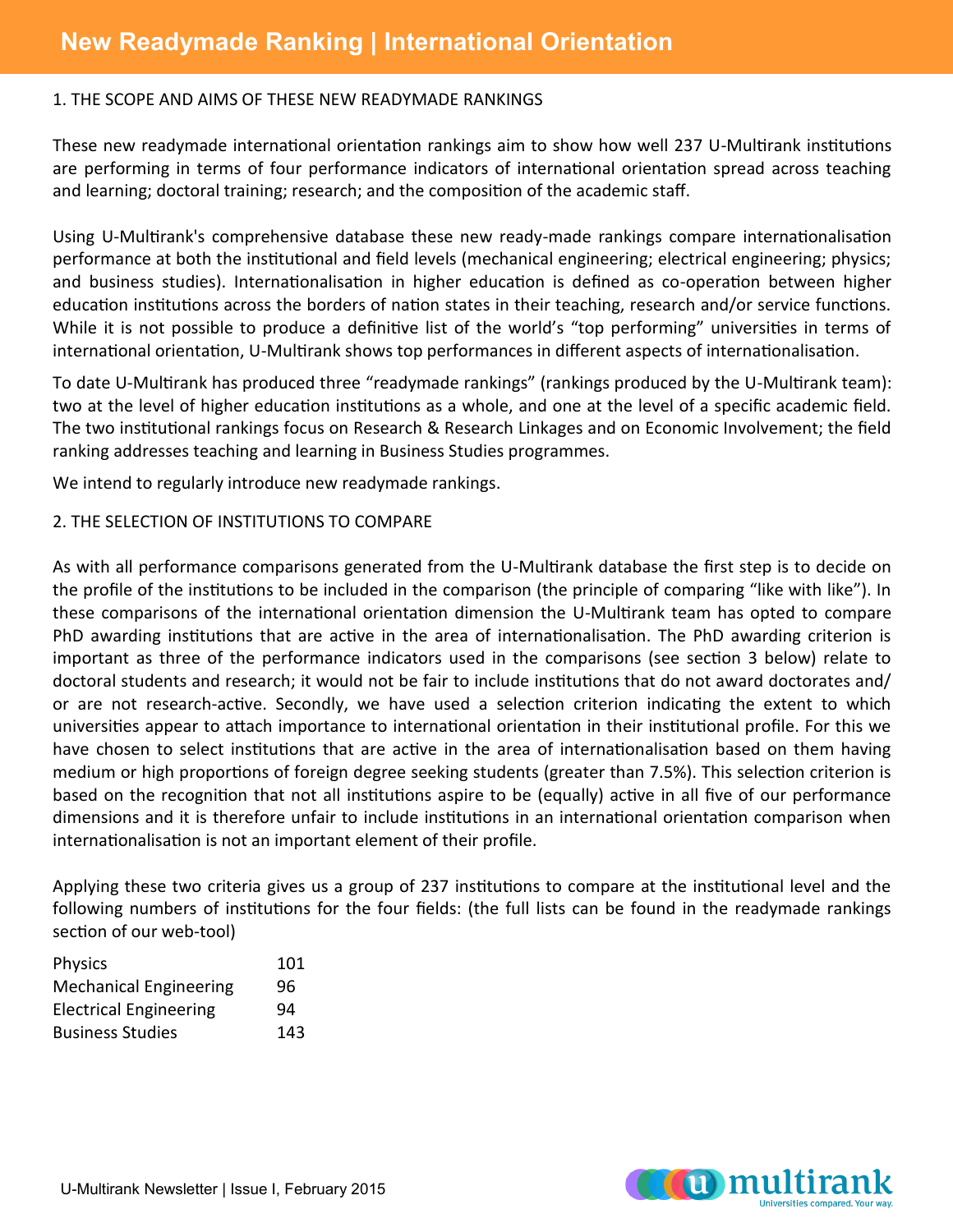#### 1. THE SCOPE AND AIMS OF THESE NEW READYMADE RANKINGS

These new readymade international orientation rankings aim to show how well 237 U-Multirank institutions are performing in terms of four performance indicators of international orientation spread across teaching and learning; doctoral training; research; and the composition of the academic staff.

Using U-Multirank's comprehensive database these new ready-made rankings compare internationalisation performance at both the institutional and field levels (mechanical engineering; electrical engineering; physics; and business studies). Internationalisation in higher education is defined as co-operation between higher education institutions across the borders of nation states in their teaching, research and/or service functions. While it is not possible to produce a definitive list of the world's "top performing" universities in terms of international orientation, U-Multirank shows top performances in different aspects of internationalisation.

To date U-Multirank has produced three "readymade rankings" (rankings produced by the U-Multirank team): two at the level of higher education institutions as a whole, and one at the level of a specific academic field. The two institutional rankings focus on Research & Research Linkages and on Economic Involvement; the field ranking addresses teaching and learning in Business Studies programmes.

We intend to regularly introduce new readymade rankings.

# 2. THE SELECTION OF INSTITUTIONS TO COMPARE

As with all performance comparisons generated from the U-Multirank database the first step is to decide on the profile of the institutions to be included in the comparison (the principle of comparing "like with like"). In these comparisons of the international orientation dimension the U-Multirank team has opted to compare PhD awarding institutions that are active in the area of internationalisation. The PhD awarding criterion is important as three of the performance indicators used in the comparisons (see section 3 below) relate to doctoral students and research; it would not be fair to include institutions that do not award doctorates and/ or are not research-active. Secondly, we have used a selection criterion indicating the extent to which universities appear to attach importance to international orientation in their institutional profile. For this we have chosen to select institutions that are active in the area of internationalisation based on them having medium or high proportions of foreign degree seeking students (greater than 7.5%). This selection criterion is based on the recognition that not all institutions aspire to be (equally) active in all five of our performance dimensions and it is therefore unfair to include institutions in an international orientation comparison when internationalisation is not an important element of their profile.

Applying these two criteria gives us a group of 237 institutions to compare at the institutional level and the following numbers of institutions for the four fields: (the full lists can be found in the readymade rankings section of our web-tool)

| <b>Physics</b>                | 101 |
|-------------------------------|-----|
| <b>Mechanical Engineering</b> | 96  |
| <b>Electrical Engineering</b> | 94  |
| <b>Business Studies</b>       | 143 |

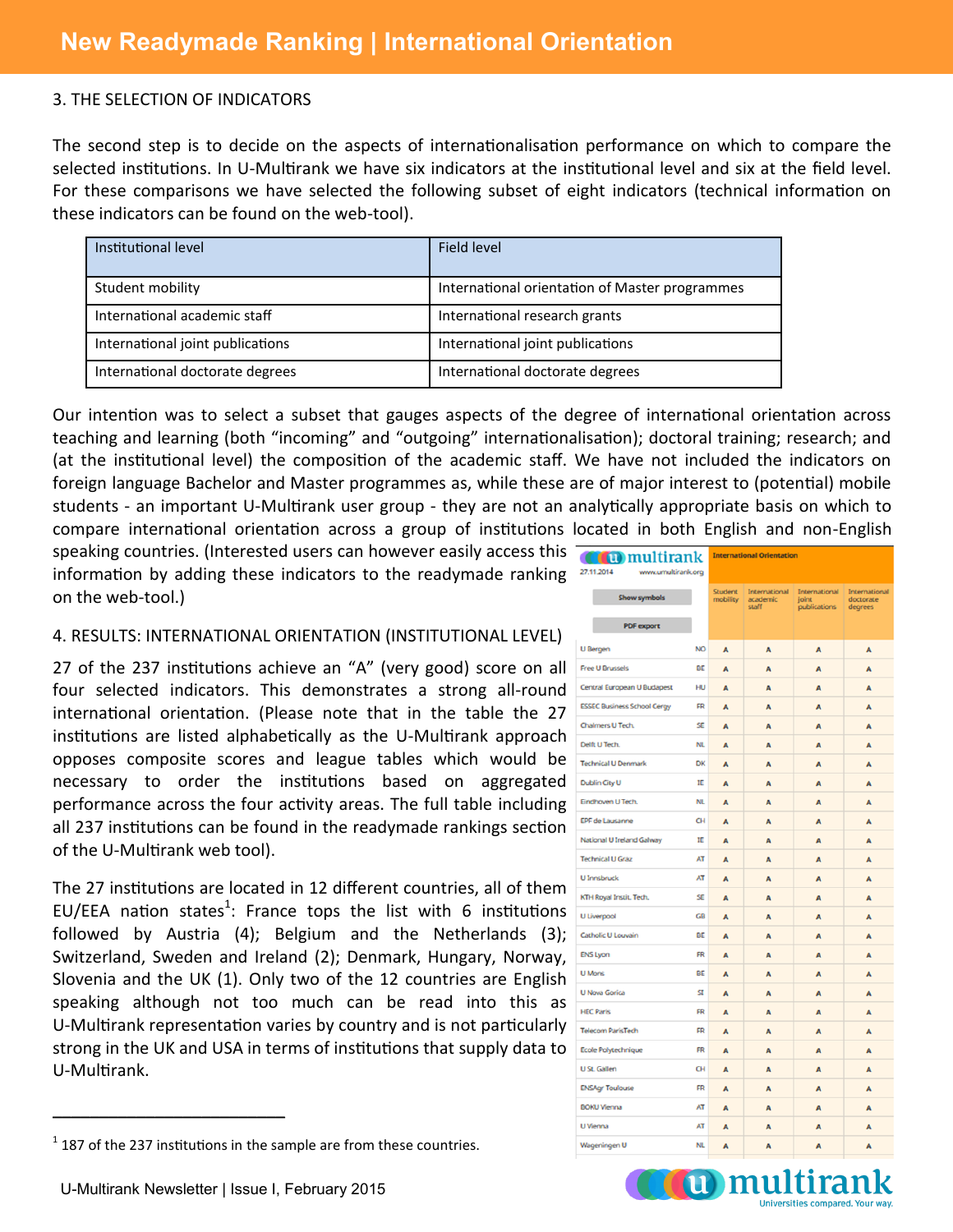#### 3. THE SELECTION OF INDICATORS

The second step is to decide on the aspects of internationalisation performance on which to compare the selected institutions. In U-Multirank we have six indicators at the institutional level and six at the field level. For these comparisons we have selected the following subset of eight indicators (technical information on these indicators can be found on the web-tool).

| Institutional level              | Field level                                    |
|----------------------------------|------------------------------------------------|
| Student mobility                 | International orientation of Master programmes |
| International academic staff     | International research grants                  |
| International joint publications | International joint publications               |
| International doctorate degrees  | International doctorate degrees                |

Our intention was to select a subset that gauges aspects of the degree of international orientation across teaching and learning (both "incoming" and "outgoing" internationalisation); doctoral training; research; and (at the institutional level) the composition of the academic staff. We have not included the indicators on foreign language Bachelor and Master programmes as, while these are of major interest to (potential) mobile students - an important U-Multirank user group - they are not an analytically appropriate basis on which to compare international orientation across a group of institutions located in both English and non-English

speaking countries. (Interested users can however easily access this information by adding these indicators to the readymade ranking on the web-tool.)

#### 4. RESULTS: INTERNATIONAL ORIENTATION (INSTITUTIONAL LEVEL)

27 of the 237 institutions achieve an "A" (very good) score on all four selected indicators. This demonstrates a strong all-round international orientation. (Please note that in the table the 27 institutions are listed alphabetically as the U-Multirank approach opposes composite scores and league tables which would be necessary to order the institutions based on aggregated performance across the four activity areas. The full table including all 237 institutions can be found in the readymade rankings section of the U-Multirank web tool).

The 27 institutions are located in 12 different countries, all of them EU/EEA nation states<sup>1</sup>: France tops the list with 6 institutions followed by Austria (4); Belgium and the Netherlands (3); Switzerland, Sweden and Ireland (2); Denmark, Hungary, Norway, Slovenia and the UK (1). Only two of the 12 countries are English speaking although not too much can be read into this as U-Multirank representation varies by country and is not particularly strong in the UK and USA in terms of institutions that supply data to U-Multirank.

| <b>Cu</b> ) multirank<br>27.11.2014<br>www.umultirank.org |           | <b>International Orientation</b> |                                    |                                        |                                       |  |
|-----------------------------------------------------------|-----------|----------------------------------|------------------------------------|----------------------------------------|---------------------------------------|--|
| <b>Show symbols</b>                                       |           | Student<br>mobility              | International<br>academic<br>staff | International<br>joint<br>publications | International<br>doctorate<br>degrees |  |
| <b>PDF</b> export                                         |           |                                  |                                    |                                        |                                       |  |
| <b>U</b> Bergen                                           | <b>NO</b> | A                                | A                                  | A                                      | A                                     |  |
| <b>Free U Brussels</b>                                    | BE        | A                                | A                                  | A                                      | A                                     |  |
| Central European U Budapest                               | HU        | A                                | A                                  | A                                      | A                                     |  |
| <b>ESSEC Business School Cergy</b>                        | <b>FR</b> | A                                | A                                  | A                                      | A                                     |  |
| Chalmers U Tech.                                          | SE        | A                                | A                                  | A                                      | A                                     |  |
| Delft U Tech.                                             | NL        | A                                | A                                  | A                                      | A                                     |  |
| <b>Technical U Denmark</b>                                | DK        | A                                | A                                  | A                                      | A                                     |  |
| Dublin City U                                             | IE        | A                                | A                                  | A                                      | A                                     |  |
| Eindhoven U Tech.                                         | <b>NL</b> | A                                | A                                  | A                                      | A                                     |  |
| EPF de Lausanne                                           | CН        | A                                | A                                  | A                                      | A                                     |  |
| National U Ireland Galway                                 | IE        | A                                | A                                  | A                                      | A                                     |  |
| <b>Technical U Graz</b>                                   | AT        | A                                | A                                  | A                                      | A                                     |  |
| <b>U Innsbruck</b>                                        | AT        | A                                | A                                  | A                                      | A                                     |  |
| KTH Royal Instit. Tech.                                   | SE        | A                                | A                                  | A                                      | A                                     |  |
| U Liverpool                                               | GB        | A                                | A                                  | A                                      | A                                     |  |
| Catholic U Louvain                                        | BE        | A                                | A                                  | A                                      | A                                     |  |
| <b>ENS Lyon</b>                                           | FR        | A                                | A                                  | A                                      | A                                     |  |
| <b>U</b> Mons                                             | BE        | A                                | A                                  | A                                      | A                                     |  |
| <b>U Nova Gorica</b>                                      | SI        | A                                | A                                  | A                                      | A                                     |  |
| <b>HEC Paris</b>                                          | FR        | A                                | A                                  | A                                      | A                                     |  |
| <b>Telecom ParisTech</b>                                  | <b>FR</b> | A                                | A                                  | A                                      | A                                     |  |
| Ecole Polytechnique                                       | FR        | A                                | A                                  | A                                      | A                                     |  |
| U St. Gallen                                              | CН        | A                                | A                                  | A                                      | A                                     |  |
| <b>ENSAgr Toulouse</b>                                    | <b>FR</b> | A                                | A                                  | A                                      | A                                     |  |
| <b>BOKU Vienna</b>                                        | <b>AT</b> | A                                | A                                  | A                                      | A                                     |  |
| U Vienna                                                  | AT        | A                                | A                                  | A                                      | A                                     |  |
| Wageningen U                                              | NL        | A                                | A                                  | A                                      | A                                     |  |

**Tummulti** 



 $\overline{\phantom{a}}$  , where  $\overline{\phantom{a}}$  , where  $\overline{\phantom{a}}$  , where  $\overline{\phantom{a}}$ 

 $<sup>1</sup>$  187 of the 237 institutions in the sample are from these countries.</sup>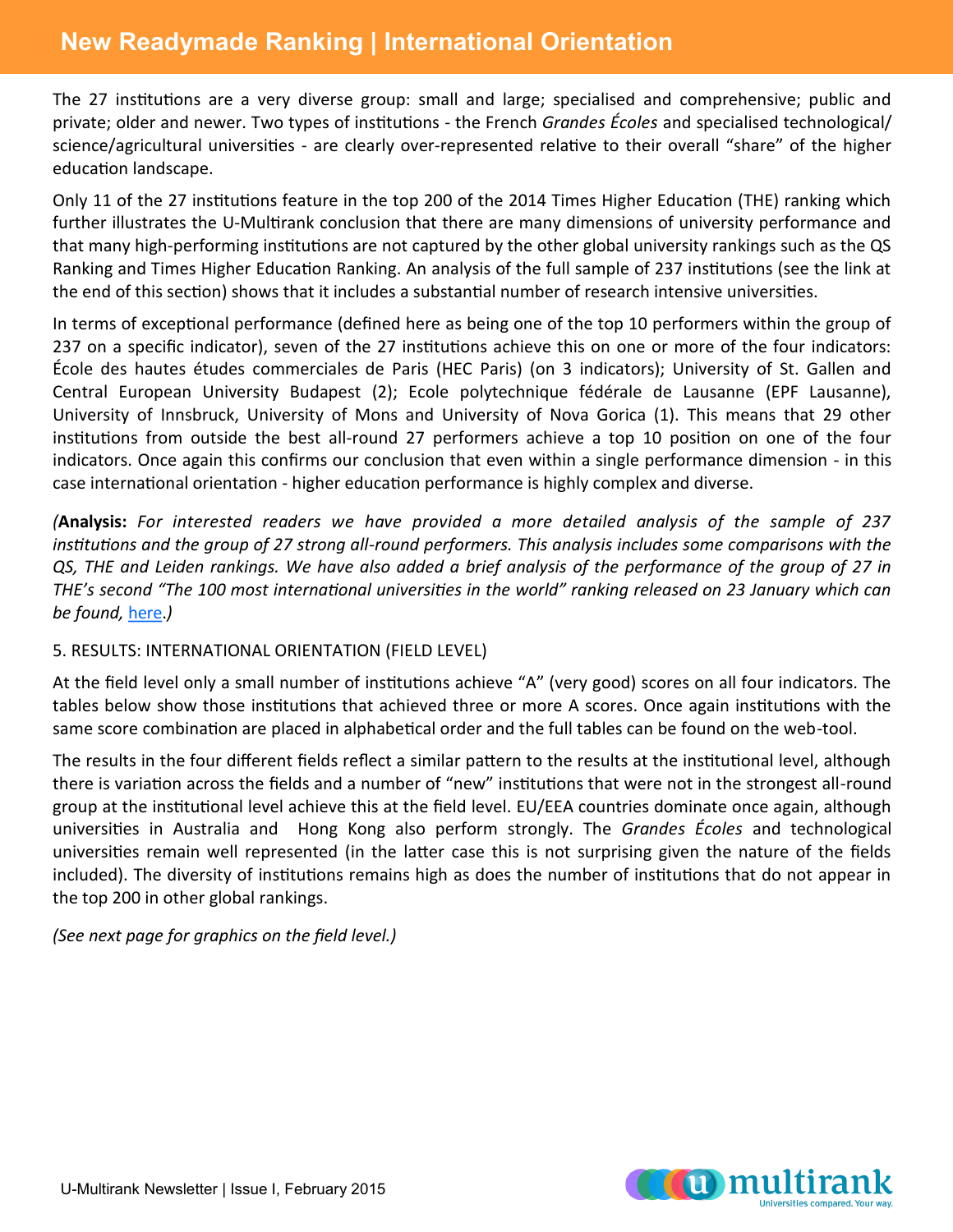# **New Readymade Ranking | International Orientation**

The 27 institutions are a very diverse group: small and large; specialised and comprehensive; public and private; older and newer. Two types of institutions - the French *Grandes Écoles* and specialised technological/ science/agricultural universities - are clearly over-represented relative to their overall "share" of the higher education landscape.

Only 11 of the 27 institutions feature in the top 200 of the 2014 Times Higher Education (THE) ranking which further illustrates the U-Multirank conclusion that there are many dimensions of university performance and that many high-performing institutions are not captured by the other global university rankings such as the QS Ranking and Times Higher Education Ranking. An analysis of the full sample of 237 institutions (see the link at the end of this section) shows that it includes a substantial number of research intensive universities.

In terms of exceptional performance (defined here as being one of the top 10 performers within the group of 237 on a specific indicator), seven of the 27 institutions achieve this on one or more of the four indicators: École des hautes études commerciales de Paris (HEC Paris) (on 3 indicators); University of St. Gallen and Central European University Budapest (2); Ecole polytechnique fédérale de Lausanne (EPF Lausanne), University of Innsbruck, University of Mons and University of Nova Gorica (1). This means that 29 other institutions from outside the best all-round 27 performers achieve a top 10 position on one of the four indicators. Once again this confirms our conclusion that even within a single performance dimension - in this case international orientation - higher education performance is highly complex and diverse.

*(***Analysis:** *For interested readers we have provided a more detailed analysis of the sample of 237 institutions and the group of 27 strong all-round performers. This analysis includes some comparisons with the QS, THE and Leiden rankings. We have also added a brief analysis of the performance of the group of 27 in THE's second "The 100 most international universities in the world" ranking released on 23 January which can be found,* [here.](http://www.multirank.eu/fileadmin/Analysis_Readymade_Rankings_InternationalOrientation.pdf)*)*

### 5. RESULTS: INTERNATIONAL ORIENTATION (FIELD LEVEL)

At the field level only a small number of institutions achieve "A" (very good) scores on all four indicators. The tables below show those institutions that achieved three or more A scores. Once again institutions with the same score combination are placed in alphabetical order and the full tables can be found on the web-tool.

The results in the four different fields reflect a similar pattern to the results at the institutional level, although there is variation across the fields and a number of "new" institutions that were not in the strongest all-round group at the institutional level achieve this at the field level. EU/EEA countries dominate once again, although universities in Australia and Hong Kong also perform strongly. The *Grandes Écoles* and technological universities remain well represented (in the latter case this is not surprising given the nature of the fields included). The diversity of institutions remains high as does the number of institutions that do not appear in the top 200 in other global rankings.

*(See next page for graphics on the field level.)*